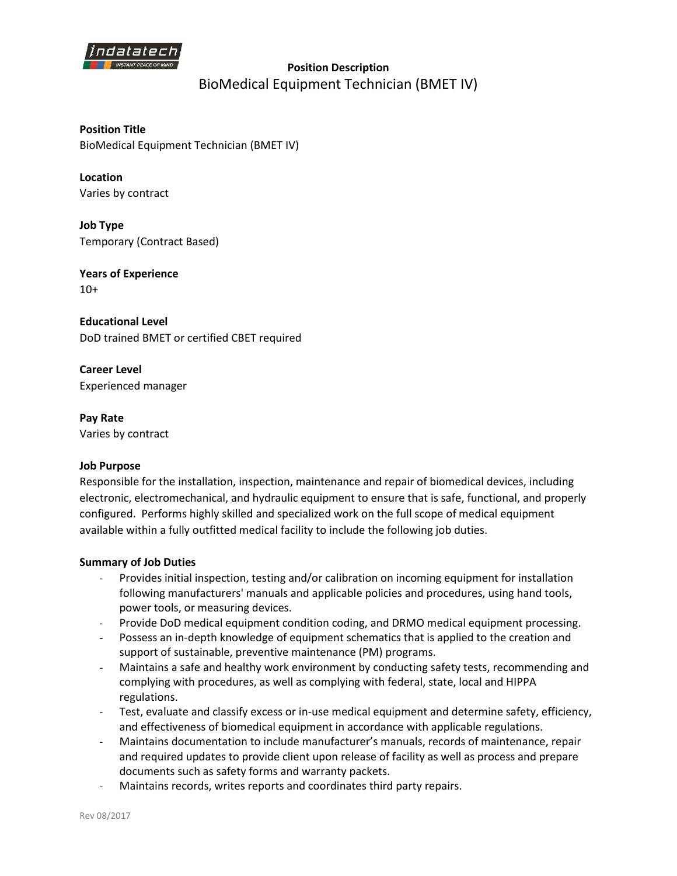

# **Position Description**  BioMedical Equipment Technician (BMET IV)

**Position Title** BioMedical Equipment Technician (BMET IV)

**Location** Varies by contract

**Job Type** Temporary (Contract Based)

**Years of Experience**  $10+$ 

**Educational Level** DoD trained BMET or certified CBET required

**Career Level** Experienced manager

**Pay Rate** Varies by contract

### **Job Purpose**

Responsible for the installation, inspection, maintenance and repair of biomedical devices, including electronic, electromechanical, and hydraulic equipment to ensure that is safe, functional, and properly configured. Performs highly skilled and specialized work on the full scope of medical equipment available within a fully outfitted medical facility to include the following job duties.

#### **Summary of Job Duties**

- Provides initial inspection, testing and/or calibration on incoming equipment for installation following manufacturers' manuals and applicable policies and procedures, using hand tools, power tools, or measuring devices.
- Provide DoD medical equipment condition coding, and DRMO medical equipment processing.
- Possess an in-depth knowledge of equipment schematics that is applied to the creation and support of sustainable, preventive maintenance (PM) programs.
- Maintains a safe and healthy work environment by conducting safety tests, recommending and complying with procedures, as well as complying with federal, state, local and HIPPA regulations.
- Test, evaluate and classify excess or in-use medical equipment and determine safety, efficiency, and effectiveness of biomedical equipment in accordance with applicable regulations.
- Maintains documentation to include manufacturer's manuals, records of maintenance, repair and required updates to provide client upon release of facility as well as process and prepare documents such as safety forms and warranty packets.
- Maintains records, writes reports and coordinates third party repairs.